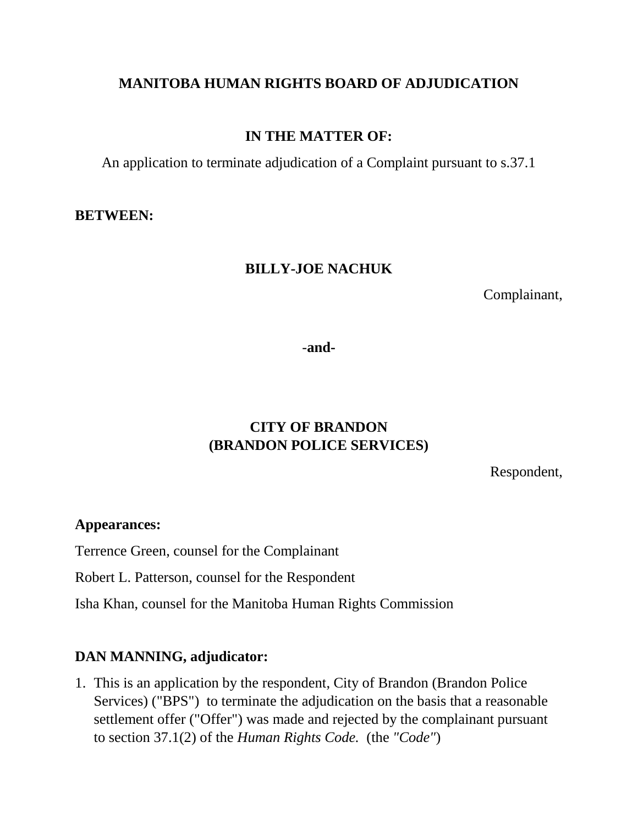## **MANITOBA HUMAN RIGHTS BOARD OF ADJUDICATION**

## **IN THE MATTER OF:**

An application to terminate adjudication of a Complaint pursuant to s.37.1

#### **BETWEEN:**

### **BILLY-JOE NACHUK**

Complainant,

-**and-**

# **CITY OF BRANDON (BRANDON POLICE SERVICES)**

Respondent,

#### **Appearances:**

Terrence Green, counsel for the Complainant

Robert L. Patterson, counsel for the Respondent

Isha Khan, counsel for the Manitoba Human Rights Commission

#### **DAN MANNING, adjudicator:**

1. This is an application by the respondent, City of Brandon (Brandon Police Services) ("BPS") to terminate the adjudication on the basis that a reasonable settlement offer ("Offer") was made and rejected by the complainant pursuant to section 37.1(2) of the *Human Rights Code.* (the *"Code"*)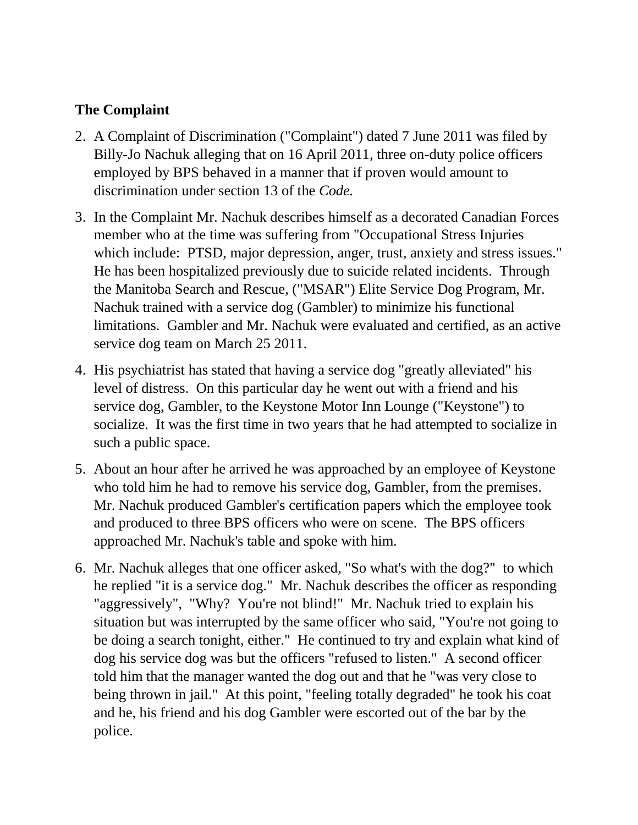## **The Complaint**

- 2. A Complaint of Discrimination ("Complaint") dated 7 June 2011 was filed by Billy-Jo Nachuk alleging that on 16 April 2011, three on-duty police officers employed by BPS behaved in a manner that if proven would amount to discrimination under section 13 of the *Code.*
- 3. In the Complaint Mr. Nachuk describes himself as a decorated Canadian Forces member who at the time was suffering from "Occupational Stress Injuries which include: PTSD, major depression, anger, trust, anxiety and stress issues." He has been hospitalized previously due to suicide related incidents. Through the Manitoba Search and Rescue, ("MSAR") Elite Service Dog Program, Mr. Nachuk trained with a service dog (Gambler) to minimize his functional limitations. Gambler and Mr. Nachuk were evaluated and certified, as an active service dog team on March 25 2011.
- 4. His psychiatrist has stated that having a service dog "greatly alleviated" his level of distress. On this particular day he went out with a friend and his service dog, Gambler, to the Keystone Motor Inn Lounge ("Keystone") to socialize. It was the first time in two years that he had attempted to socialize in such a public space.
- 5. About an hour after he arrived he was approached by an employee of Keystone who told him he had to remove his service dog, Gambler, from the premises. Mr. Nachuk produced Gambler's certification papers which the employee took and produced to three BPS officers who were on scene. The BPS officers approached Mr. Nachuk's table and spoke with him.
- 6. Mr. Nachuk alleges that one officer asked, "So what's with the dog?" to which he replied "it is a service dog." Mr. Nachuk describes the officer as responding "aggressively", "Why? You're not blind!" Mr. Nachuk tried to explain his situation but was interrupted by the same officer who said, "You're not going to be doing a search tonight, either." He continued to try and explain what kind of dog his service dog was but the officers "refused to listen." A second officer told him that the manager wanted the dog out and that he "was very close to being thrown in jail." At this point, "feeling totally degraded" he took his coat and he, his friend and his dog Gambler were escorted out of the bar by the police.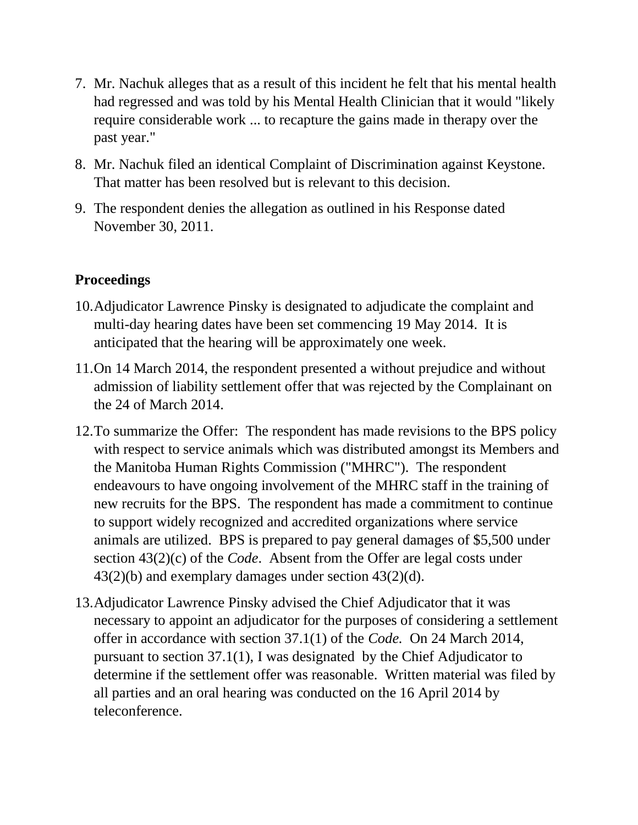- 7. Mr. Nachuk alleges that as a result of this incident he felt that his mental health had regressed and was told by his Mental Health Clinician that it would "likely require considerable work ... to recapture the gains made in therapy over the past year."
- 8. Mr. Nachuk filed an identical Complaint of Discrimination against Keystone. That matter has been resolved but is relevant to this decision.
- 9. The respondent denies the allegation as outlined in his Response dated November 30, 2011.

# **Proceedings**

- 10.Adjudicator Lawrence Pinsky is designated to adjudicate the complaint and multi-day hearing dates have been set commencing 19 May 2014. It is anticipated that the hearing will be approximately one week.
- 11.On 14 March 2014, the respondent presented a without prejudice and without admission of liability settlement offer that was rejected by the Complainant on the 24 of March 2014.
- 12.To summarize the Offer: The respondent has made revisions to the BPS policy with respect to service animals which was distributed amongst its Members and the Manitoba Human Rights Commission ("MHRC"). The respondent endeavours to have ongoing involvement of the MHRC staff in the training of new recruits for the BPS. The respondent has made a commitment to continue to support widely recognized and accredited organizations where service animals are utilized. BPS is prepared to pay general damages of \$5,500 under section 43(2)(c) of the *Code*. Absent from the Offer are legal costs under 43(2)(b) and exemplary damages under section 43(2)(d).
- 13.Adjudicator Lawrence Pinsky advised the Chief Adjudicator that it was necessary to appoint an adjudicator for the purposes of considering a settlement offer in accordance with section 37.1(1) of the *Code.* On 24 March 2014, pursuant to section 37.1(1), I was designated by the Chief Adjudicator to determine if the settlement offer was reasonable. Written material was filed by all parties and an oral hearing was conducted on the 16 April 2014 by teleconference.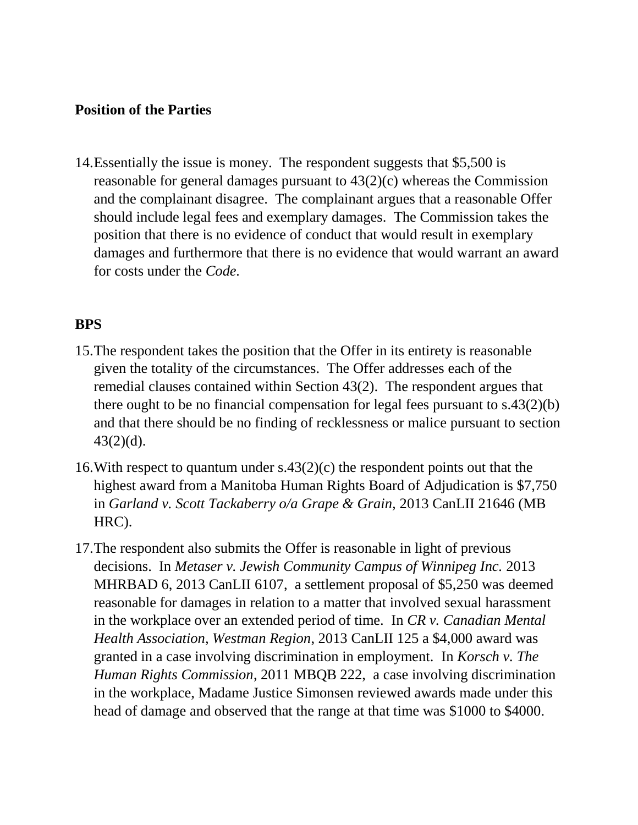### **Position of the Parties**

14.Essentially the issue is money. The respondent suggests that \$5,500 is reasonable for general damages pursuant to 43(2)(c) whereas the Commission and the complainant disagree. The complainant argues that a reasonable Offer should include legal fees and exemplary damages. The Commission takes the position that there is no evidence of conduct that would result in exemplary damages and furthermore that there is no evidence that would warrant an award for costs under the *Code.* 

### **BPS**

- 15.The respondent takes the position that the Offer in its entirety is reasonable given the totality of the circumstances. The Offer addresses each of the remedial clauses contained within Section 43(2). The respondent argues that there ought to be no financial compensation for legal fees pursuant to s.43(2)(b) and that there should be no finding of recklessness or malice pursuant to section  $43(2)(d)$ .
- 16. With respect to quantum under  $s.43(2)(c)$  the respondent points out that the highest award from a Manitoba Human Rights Board of Adjudication is \$7,750 in *Garland v. Scott Tackaberry o/a Grape & Grain,* 2013 CanLII 21646 (MB HRC).
- 17.The respondent also submits the Offer is reasonable in light of previous decisions. In *Metaser v. Jewish Community Campus of Winnipeg Inc.* 2013 MHRBAD 6, 2013 CanLII 6107, a settlement proposal of \$5,250 was deemed reasonable for damages in relation to a matter that involved sexual harassment in the workplace over an extended period of time. In *CR v. Canadian Mental Health Association, Westman Region*, 2013 CanLII 125 a \$4,000 award was granted in a case involving discrimination in employment. In *Korsch v. The Human Rights Commission*, 2011 MBQB 222, a case involving discrimination in the workplace, Madame Justice Simonsen reviewed awards made under this head of damage and observed that the range at that time was \$1000 to \$4000.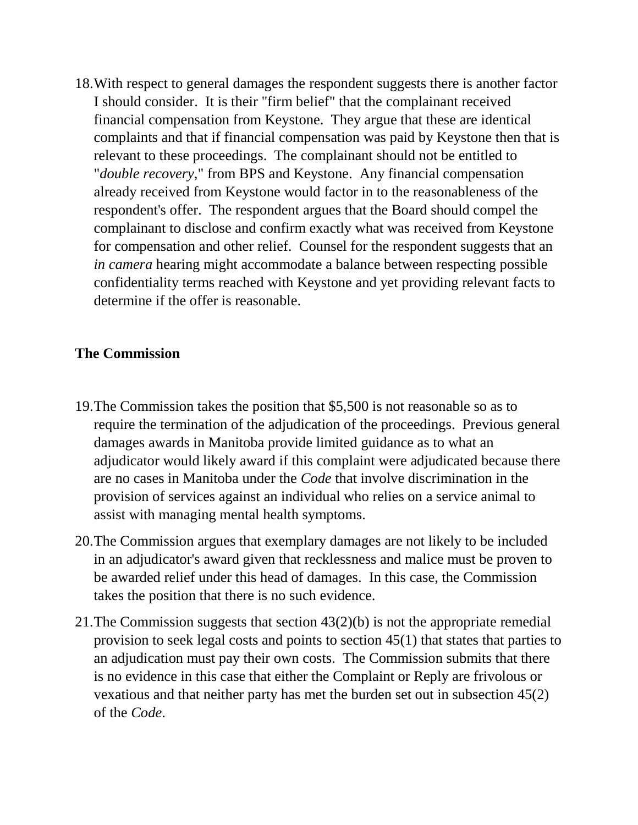18.With respect to general damages the respondent suggests there is another factor I should consider. It is their "firm belief" that the complainant received financial compensation from Keystone. They argue that these are identical complaints and that if financial compensation was paid by Keystone then that is relevant to these proceedings. The complainant should not be entitled to "*double recovery*," from BPS and Keystone. Any financial compensation already received from Keystone would factor in to the reasonableness of the respondent's offer. The respondent argues that the Board should compel the complainant to disclose and confirm exactly what was received from Keystone for compensation and other relief. Counsel for the respondent suggests that an *in camera* hearing might accommodate a balance between respecting possible confidentiality terms reached with Keystone and yet providing relevant facts to determine if the offer is reasonable.

#### **The Commission**

- 19.The Commission takes the position that \$5,500 is not reasonable so as to require the termination of the adjudication of the proceedings. Previous general damages awards in Manitoba provide limited guidance as to what an adjudicator would likely award if this complaint were adjudicated because there are no cases in Manitoba under the *Code* that involve discrimination in the provision of services against an individual who relies on a service animal to assist with managing mental health symptoms.
- 20.The Commission argues that exemplary damages are not likely to be included in an adjudicator's award given that recklessness and malice must be proven to be awarded relief under this head of damages. In this case, the Commission takes the position that there is no such evidence.
- 21.The Commission suggests that section 43(2)(b) is not the appropriate remedial provision to seek legal costs and points to section 45(1) that states that parties to an adjudication must pay their own costs. The Commission submits that there is no evidence in this case that either the Complaint or Reply are frivolous or vexatious and that neither party has met the burden set out in subsection 45(2) of the *Code*.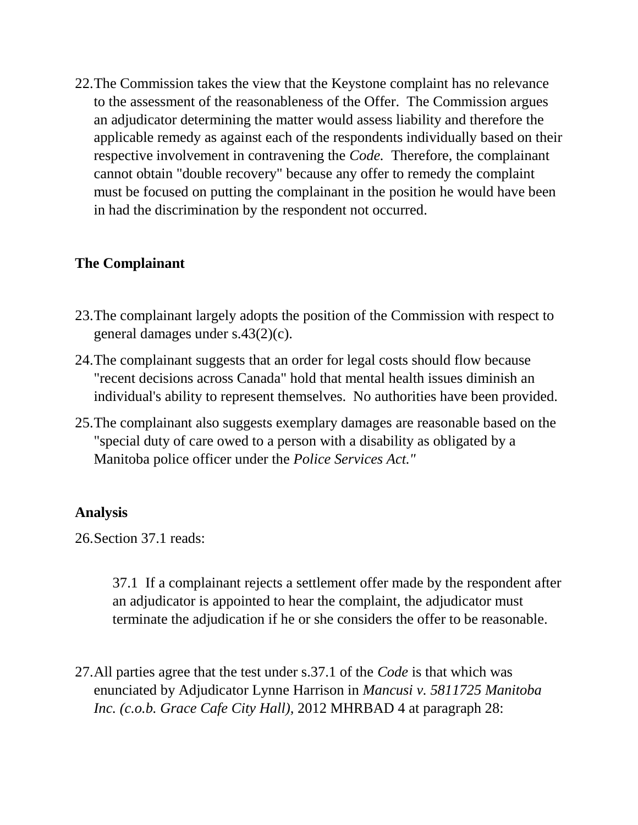22.The Commission takes the view that the Keystone complaint has no relevance to the assessment of the reasonableness of the Offer. The Commission argues an adjudicator determining the matter would assess liability and therefore the applicable remedy as against each of the respondents individually based on their respective involvement in contravening the *Code.* Therefore, the complainant cannot obtain "double recovery" because any offer to remedy the complaint must be focused on putting the complainant in the position he would have been in had the discrimination by the respondent not occurred.

## **The Complainant**

- 23.The complainant largely adopts the position of the Commission with respect to general damages under s.43(2)(c).
- 24.The complainant suggests that an order for legal costs should flow because "recent decisions across Canada" hold that mental health issues diminish an individual's ability to represent themselves. No authorities have been provided.
- 25.The complainant also suggests exemplary damages are reasonable based on the "special duty of care owed to a person with a disability as obligated by a Manitoba police officer under the *Police Services Act."*

#### **Analysis**

26.Section 37.1 reads:

37.1 If a complainant rejects a settlement offer made by the respondent after an adjudicator is appointed to hear the complaint, the adjudicator must terminate the adjudication if he or she considers the offer to be reasonable.

27.All parties agree that the test under s.37.1 of the *Code* is that which was enunciated by Adjudicator Lynne Harrison in *Mancusi v. 5811725 Manitoba Inc. (c.o.b. Grace Cafe City Hall),* 2012 MHRBAD 4 at paragraph 28: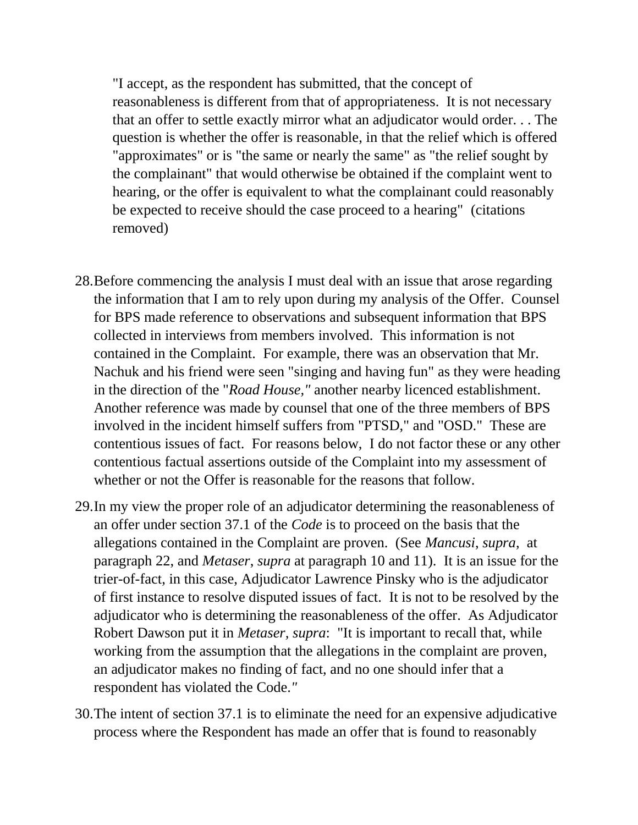"I accept, as the respondent has submitted, that the concept of reasonableness is different from that of appropriateness. It is not necessary that an offer to settle exactly mirror what an adjudicator would order. . . The question is whether the offer is reasonable, in that the relief which is offered "approximates" or is "the same or nearly the same" as "the relief sought by the complainant" that would otherwise be obtained if the complaint went to hearing, or the offer is equivalent to what the complainant could reasonably be expected to receive should the case proceed to a hearing" (citations removed)

- 28.Before commencing the analysis I must deal with an issue that arose regarding the information that I am to rely upon during my analysis of the Offer. Counsel for BPS made reference to observations and subsequent information that BPS collected in interviews from members involved. This information is not contained in the Complaint. For example, there was an observation that Mr. Nachuk and his friend were seen "singing and having fun" as they were heading in the direction of the "*Road House,"* another nearby licenced establishment. Another reference was made by counsel that one of the three members of BPS involved in the incident himself suffers from "PTSD," and "OSD." These are contentious issues of fact. For reasons below, I do not factor these or any other contentious factual assertions outside of the Complaint into my assessment of whether or not the Offer is reasonable for the reasons that follow.
- 29.In my view the proper role of an adjudicator determining the reasonableness of an offer under section 37.1 of the *Code* is to proceed on the basis that the allegations contained in the Complaint are proven. (See *Mancusi*, *supra*, at paragraph 22, and *Metaser*, *supra* at paragraph 10 and 11). It is an issue for the trier-of-fact, in this case, Adjudicator Lawrence Pinsky who is the adjudicator of first instance to resolve disputed issues of fact. It is not to be resolved by the adjudicator who is determining the reasonableness of the offer. As Adjudicator Robert Dawson put it in *Metaser, supra*: "It is important to recall that, while working from the assumption that the allegations in the complaint are proven, an adjudicator makes no finding of fact, and no one should infer that a respondent has violated the Code.*"*
- 30.The intent of section 37.1 is to eliminate the need for an expensive adjudicative process where the Respondent has made an offer that is found to reasonably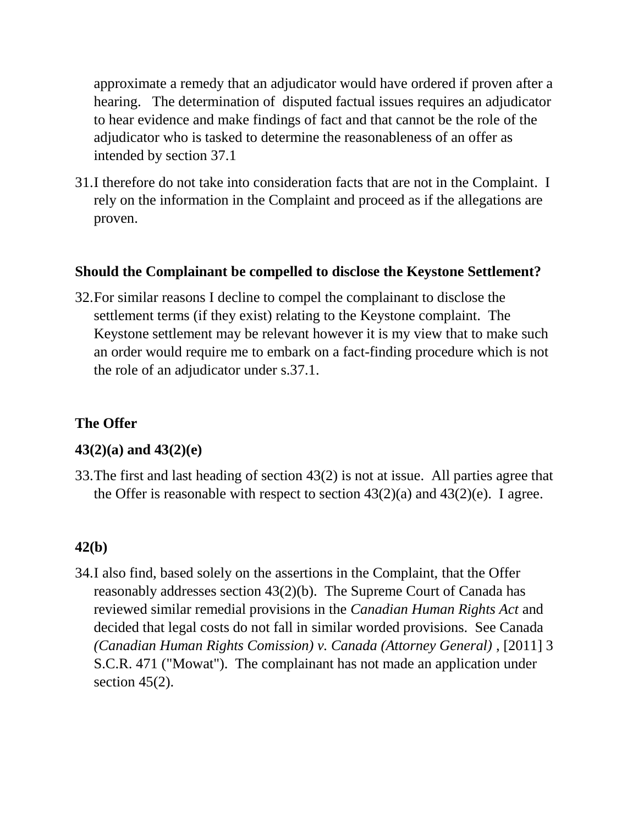approximate a remedy that an adjudicator would have ordered if proven after a hearing. The determination of disputed factual issues requires an adjudicator to hear evidence and make findings of fact and that cannot be the role of the adjudicator who is tasked to determine the reasonableness of an offer as intended by section 37.1

31.I therefore do not take into consideration facts that are not in the Complaint. I rely on the information in the Complaint and proceed as if the allegations are proven.

### **Should the Complainant be compelled to disclose the Keystone Settlement?**

32.For similar reasons I decline to compel the complainant to disclose the settlement terms (if they exist) relating to the Keystone complaint. The Keystone settlement may be relevant however it is my view that to make such an order would require me to embark on a fact-finding procedure which is not the role of an adjudicator under s.37.1.

# **The Offer**

## **43(2)(a) and 43(2)(e)**

33.The first and last heading of section 43(2) is not at issue. All parties agree that the Offer is reasonable with respect to section  $43(2)(a)$  and  $43(2)(e)$ . I agree.

## **42(b)**

34.I also find, based solely on the assertions in the Complaint, that the Offer reasonably addresses section 43(2)(b). The Supreme Court of Canada has reviewed similar remedial provisions in the *Canadian Human Rights Act* and decided that legal costs do not fall in similar worded provisions. See Canada *(Canadian Human Rights Comission) v. Canada (Attorney General)* , [2011] 3 S.C.R. 471 ("Mowat"). The complainant has not made an application under section  $45(2)$ .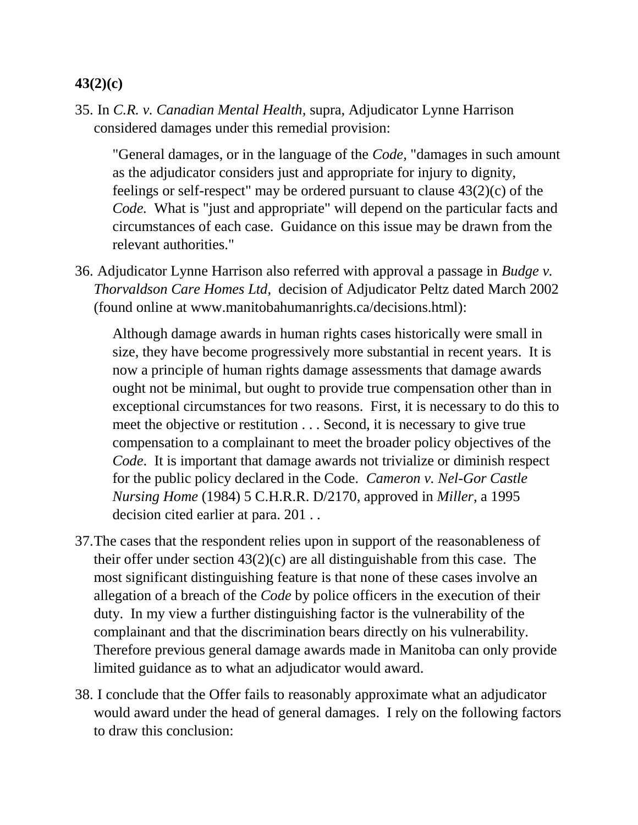## **43(2)(c)**

35. In *C.R. v. Canadian Mental Health,* supra, Adjudicator Lynne Harrison considered damages under this remedial provision:

"General damages, or in the language of the *Code,* "damages in such amount as the adjudicator considers just and appropriate for injury to dignity, feelings or self-respect" may be ordered pursuant to clause 43(2)(c) of the *Code.* What is "just and appropriate" will depend on the particular facts and circumstances of each case. Guidance on this issue may be drawn from the relevant authorities."

36. Adjudicator Lynne Harrison also referred with approval a passage in *Budge v. Thorvaldson Care Homes Ltd,* decision of Adjudicator Peltz dated March 2002 (found online at www.manitobahumanrights.ca/decisions.html):

Although damage awards in human rights cases historically were small in size, they have become progressively more substantial in recent years. It is now a principle of human rights damage assessments that damage awards ought not be minimal, but ought to provide true compensation other than in exceptional circumstances for two reasons. First, it is necessary to do this to meet the objective or restitution . . . Second, it is necessary to give true compensation to a complainant to meet the broader policy objectives of the *Code*. It is important that damage awards not trivialize or diminish respect for the public policy declared in the Code*. Cameron v. Nel-Gor Castle Nursing Home* (1984) 5 C.H.R.R. D/2170, approved in *Miller*, a 1995 decision cited earlier at para. 201 . .

- 37.The cases that the respondent relies upon in support of the reasonableness of their offer under section  $43(2)(c)$  are all distinguishable from this case. The most significant distinguishing feature is that none of these cases involve an allegation of a breach of the *Code* by police officers in the execution of their duty. In my view a further distinguishing factor is the vulnerability of the complainant and that the discrimination bears directly on his vulnerability. Therefore previous general damage awards made in Manitoba can only provide limited guidance as to what an adjudicator would award.
- 38. I conclude that the Offer fails to reasonably approximate what an adjudicator would award under the head of general damages. I rely on the following factors to draw this conclusion: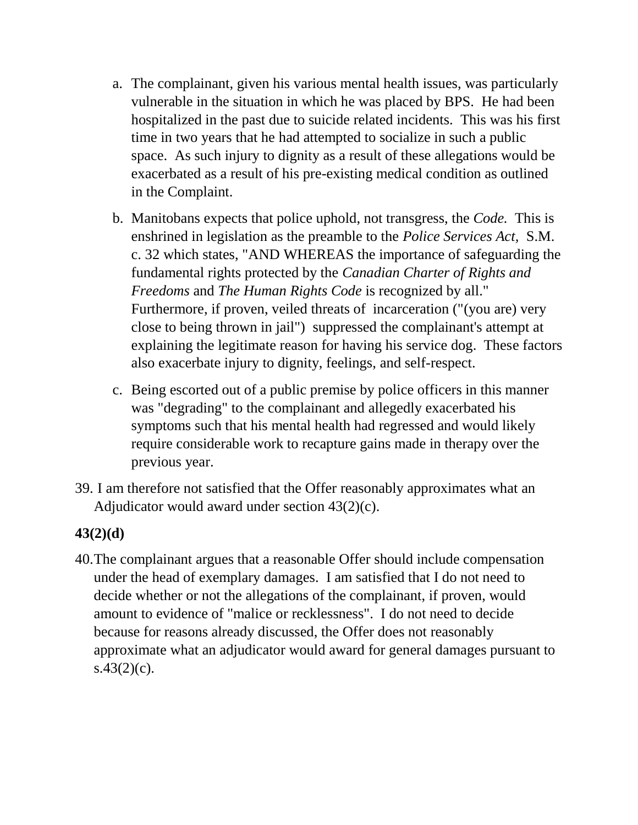- a. The complainant, given his various mental health issues, was particularly vulnerable in the situation in which he was placed by BPS. He had been hospitalized in the past due to suicide related incidents. This was his first time in two years that he had attempted to socialize in such a public space. As such injury to dignity as a result of these allegations would be exacerbated as a result of his pre-existing medical condition as outlined in the Complaint.
- b. Manitobans expects that police uphold, not transgress, the *Code.* This is enshrined in legislation as the preamble to the *Police Services Act,* S.M. c. 32 which states, "AND WHEREAS the importance of safeguarding the fundamental rights protected by the *Canadian Charter of Rights and Freedoms* and *The Human Rights Code* is recognized by all." Furthermore, if proven, veiled threats of incarceration ("(you are) very close to being thrown in jail") suppressed the complainant's attempt at explaining the legitimate reason for having his service dog. These factors also exacerbate injury to dignity, feelings, and self-respect.
- c. Being escorted out of a public premise by police officers in this manner was "degrading" to the complainant and allegedly exacerbated his symptoms such that his mental health had regressed and would likely require considerable work to recapture gains made in therapy over the previous year.
- 39. I am therefore not satisfied that the Offer reasonably approximates what an Adjudicator would award under section 43(2)(c).

# **43(2)(d)**

40.The complainant argues that a reasonable Offer should include compensation under the head of exemplary damages. I am satisfied that I do not need to decide whether or not the allegations of the complainant, if proven, would amount to evidence of "malice or recklessness". I do not need to decide because for reasons already discussed, the Offer does not reasonably approximate what an adjudicator would award for general damages pursuant to  $s.43(2)(c)$ .